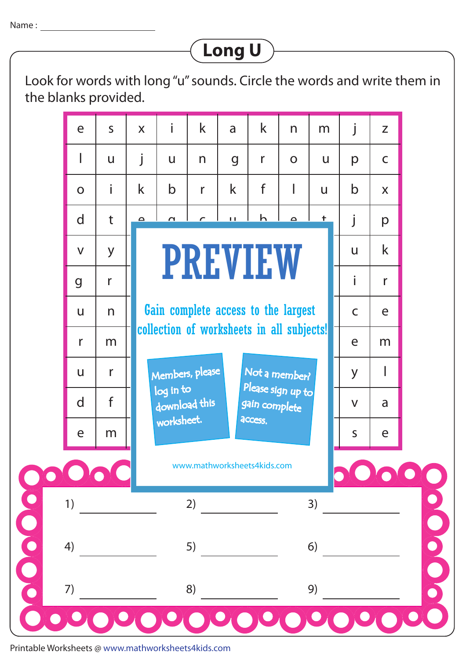## **Long U**

Look for words with long "u" sounds. Circle the words and write them in the blanks provided.



Printable Worksheets @ www.mathworksheets4kids.com